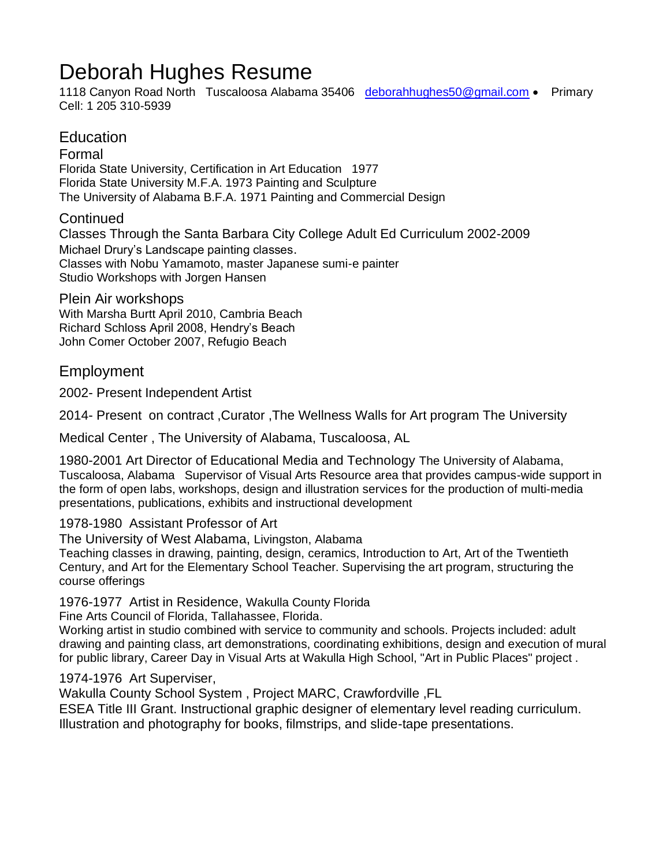# Deborah Hughes Resume

1118 Canvon Road North Tuscaloosa Alabama 35406 [deborahhughes50@gmail.com](mailto:deborahhughes50@gmail.com) • Primary Cell: 1 205 310-5939

## Education

Formal Florida State University, Certification in Art Education 1977 Florida State University M.F.A. 1973 Painting and Sculpture The University of Alabama B.F.A. 1971 Painting and Commercial Design

#### **Continued**

Classes Through the Santa Barbara City College Adult Ed Curriculum 2002-2009 Michael Drury's Landscape painting classes. Classes with Nobu Yamamoto, master Japanese sumi-e painter Studio Workshops with Jorgen Hansen

Plein Air workshops With Marsha Burtt April 2010, Cambria Beach Richard Schloss April 2008, Hendry's Beach John Comer October 2007, Refugio Beach

### Employment

2002- Present Independent Artist

2014- Present on contract ,Curator ,The Wellness Walls for Art program The University

Medical Center , The University of Alabama, Tuscaloosa, AL

1980-2001 Art Director of Educational Media and Technology The University of Alabama, Tuscaloosa, Alabama Supervisor of Visual Arts Resource area that provides campus-wide support in the form of open labs, workshops, design and illustration services for the production of multi-media presentations, publications, exhibits and instructional development

#### 1978-1980 Assistant Professor of Art

The University of West Alabama, Livingston, Alabama

Teaching classes in drawing, painting, design, ceramics, Introduction to Art, Art of the Twentieth Century, and Art for the Elementary School Teacher. Supervising the art program, structuring the course offerings

1976-1977 Artist in Residence, Wakulla County Florida

Fine Arts Council of Florida, Tallahassee, Florida.

Working artist in studio combined with service to community and schools. Projects included: adult drawing and painting class, art demonstrations, coordinating exhibitions, design and execution of mural for public library, Career Day in Visual Arts at Wakulla High School, "Art in Public Places" project .

#### 1974-1976 Art Superviser,

Wakulla County School System , Project MARC, Crawfordville ,FL

ESEA Title III Grant. Instructional graphic designer of elementary level reading curriculum. Illustration and photography for books, filmstrips, and slide-tape presentations.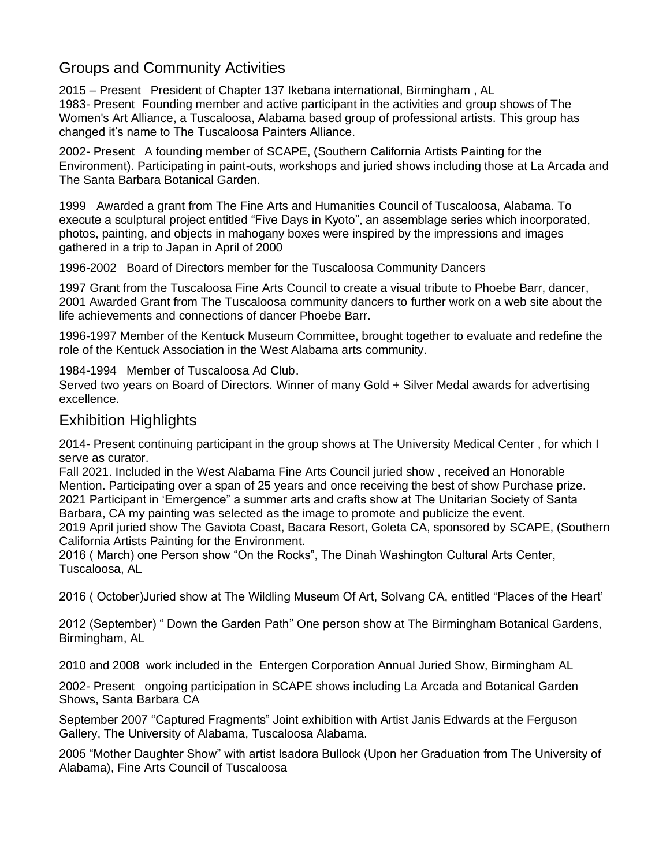# Groups and Community Activities

2015 – Present President of Chapter 137 Ikebana international, Birmingham , AL 1983- Present Founding member and active participant in the activities and group shows of The Women's Art Alliance, a Tuscaloosa, Alabama based group of professional artists. This group has changed it's name to The Tuscaloosa Painters Alliance.

2002- Present A founding member of SCAPE, (Southern California Artists Painting for the Environment). Participating in paint-outs, workshops and juried shows including those at La Arcada and The Santa Barbara Botanical Garden.

1999 Awarded a grant from The Fine Arts and Humanities Council of Tuscaloosa, Alabama. To execute a sculptural project entitled "Five Days in Kyoto", an assemblage series which incorporated, photos, painting, and objects in mahogany boxes were inspired by the impressions and images gathered in a trip to Japan in April of 2000

1996-2002 Board of Directors member for the Tuscaloosa Community Dancers

1997 Grant from the Tuscaloosa Fine Arts Council to create a visual tribute to Phoebe Barr, dancer, 2001 Awarded Grant from The Tuscaloosa community dancers to further work on a web site about the life achievements and connections of dancer Phoebe Barr.

1996-1997 Member of the Kentuck Museum Committee, brought together to evaluate and redefine the role of the Kentuck Association in the West Alabama arts community.

1984-1994 Member of Tuscaloosa Ad Club.

Served two years on Board of Directors. Winner of many Gold + Silver Medal awards for advertising excellence.

# Exhibition Highlights

2014- Present continuing participant in the group shows at The University Medical Center , for which I serve as curator.

Fall 2021. Included in the West Alabama Fine Arts Council juried show , received an Honorable Mention. Participating over a span of 25 years and once receiving the best of show Purchase prize. 2021 Participant in 'Emergence" a summer arts and crafts show at The Unitarian Society of Santa Barbara, CA my painting was selected as the image to promote and publicize the event. 2019 April juried show The Gaviota Coast, Bacara Resort, Goleta CA, sponsored by SCAPE, (Southern California Artists Painting for the Environment.

2016 ( March) one Person show "On the Rocks", The Dinah Washington Cultural Arts Center, Tuscaloosa, AL

2016 ( October)Juried show at The Wildling Museum Of Art, Solvang CA, entitled "Places of the Heart'

2012 (September) " Down the Garden Path" One person show at The Birmingham Botanical Gardens, Birmingham, AL

2010 and 2008 work included in the Entergen Corporation Annual Juried Show, Birmingham AL

2002- Present ongoing participation in SCAPE shows including La Arcada and Botanical Garden Shows, Santa Barbara CA

September 2007 "Captured Fragments" Joint exhibition with Artist Janis Edwards at the Ferguson Gallery, The University of Alabama, Tuscaloosa Alabama.

2005 "Mother Daughter Show" with artist Isadora Bullock (Upon her Graduation from The University of Alabama), Fine Arts Council of Tuscaloosa